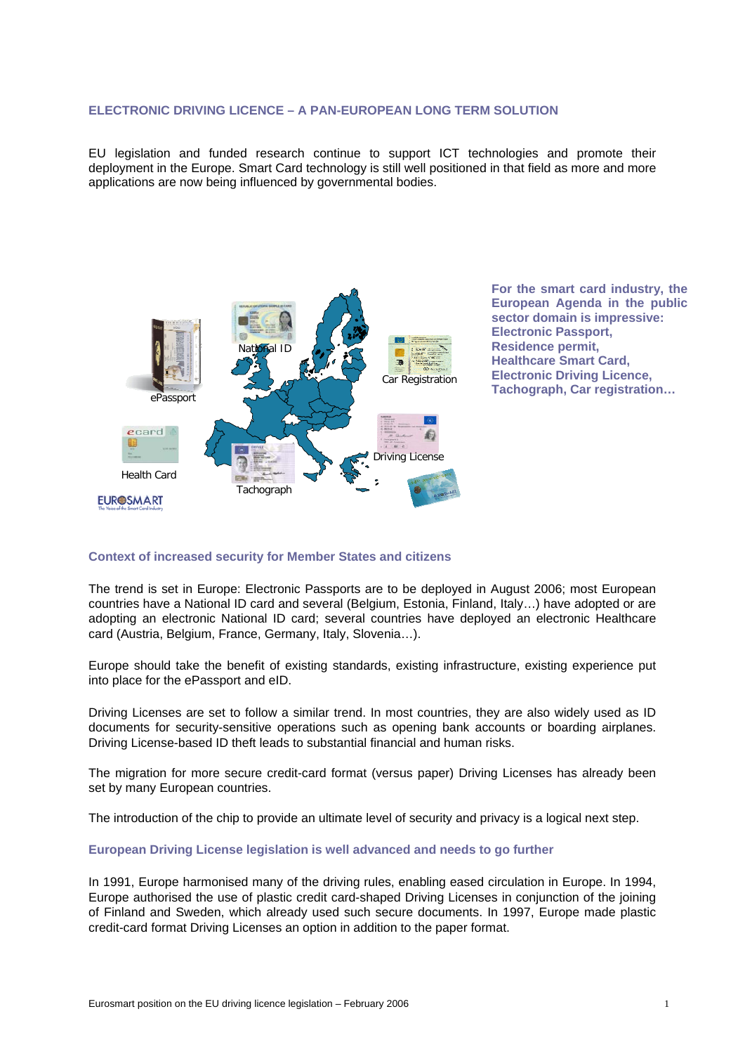### **ELECTRONIC DRIVING LICENCE – A PAN-EUROPEAN LONG TERM SOLUTION**

EU legislation and funded research continue to support ICT technologies and promote their deployment in the Europe. Smart Card technology is still well positioned in that field as more and more applications are now being influenced by governmental bodies.



**For the smart card industry, the European Agenda in the public sector domain is impressive: Electronic Passport, Residence permit, Healthcare Smart Card, Electronic Driving Licence, Tachograph, Car registration…** 

## **Context of increased security for Member States and citizens**

The trend is set in Europe: Electronic Passports are to be deployed in August 2006; most European countries have a National ID card and several (Belgium, Estonia, Finland, Italy…) have adopted or are adopting an electronic National ID card; several countries have deployed an electronic Healthcare card (Austria, Belgium, France, Germany, Italy, Slovenia…).

Europe should take the benefit of existing standards, existing infrastructure, existing experience put into place for the ePassport and eID.

Driving Licenses are set to follow a similar trend. In most countries, they are also widely used as ID documents for security-sensitive operations such as opening bank accounts or boarding airplanes. Driving License-based ID theft leads to substantial financial and human risks.

The migration for more secure credit-card format (versus paper) Driving Licenses has already been set by many European countries.

The introduction of the chip to provide an ultimate level of security and privacy is a logical next step.

## **European Driving License legislation is well advanced and needs to go further**

In 1991, Europe harmonised many of the driving rules, enabling eased circulation in Europe. In 1994, Europe authorised the use of plastic credit card-shaped Driving Licenses in conjunction of the joining of Finland and Sweden, which already used such secure documents. In 1997, Europe made plastic credit-card format Driving Licenses an option in addition to the paper format.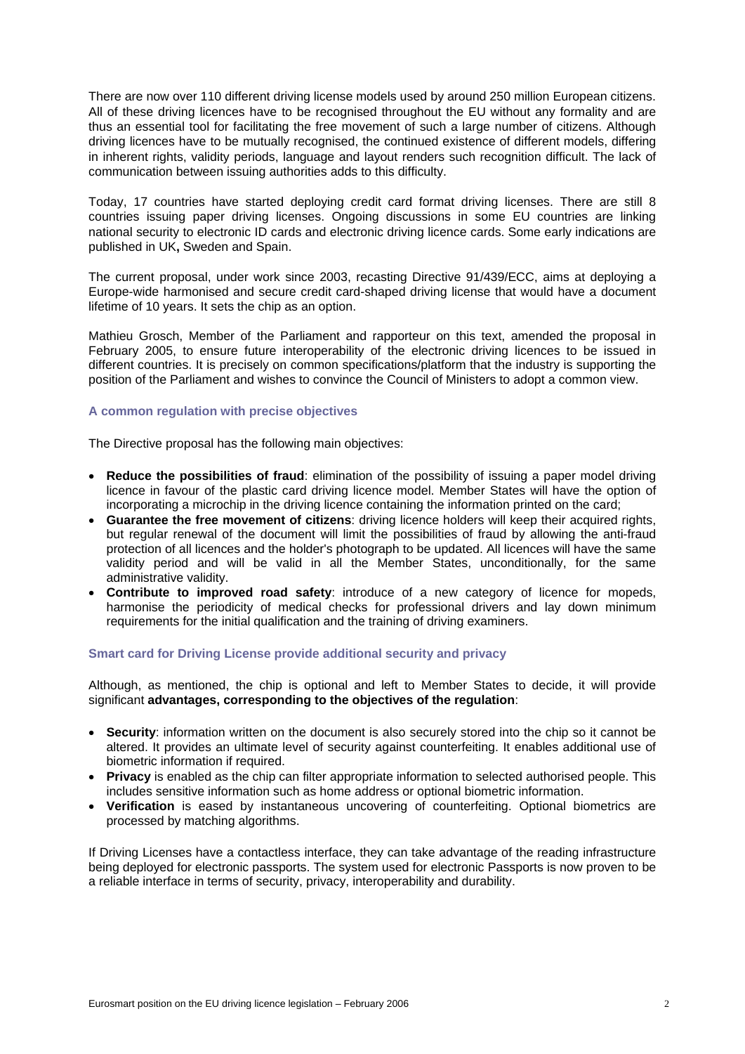There are now over 110 different driving license models used by around 250 million European citizens. All of these driving licences have to be recognised throughout the EU without any formality and are thus an essential tool for facilitating the free movement of such a large number of citizens. Although driving licences have to be mutually recognised, the continued existence of different models, differing in inherent rights, validity periods, language and layout renders such recognition difficult. The lack of communication between issuing authorities adds to this difficulty.

Today, 17 countries have started deploying credit card format driving licenses. There are still 8 countries issuing paper driving licenses. Ongoing discussions in some EU countries are linking national security to electronic ID cards and electronic driving licence cards. Some early indications are published in UK**,** Sweden and Spain.

The current proposal, under work since 2003, recasting Directive 91/439/ECC, aims at deploying a Europe-wide harmonised and secure credit card-shaped driving license that would have a document lifetime of 10 years. It sets the chip as an option.

Mathieu Grosch, Member of the Parliament and rapporteur on this text, amended the proposal in February 2005, to ensure future interoperability of the electronic driving licences to be issued in different countries. It is precisely on common specifications/platform that the industry is supporting the position of the Parliament and wishes to convince the Council of Ministers to adopt a common view.

# **A common regulation with precise objectives**

The Directive proposal has the following main objectives:

- **Reduce the possibilities of fraud**: elimination of the possibility of issuing a paper model driving licence in favour of the plastic card driving licence model. Member States will have the option of incorporating a microchip in the driving licence containing the information printed on the card;
- **Guarantee the free movement of citizens**: driving licence holders will keep their acquired rights, but regular renewal of the document will limit the possibilities of fraud by allowing the anti-fraud protection of all licences and the holder's photograph to be updated. All licences will have the same validity period and will be valid in all the Member States, unconditionally, for the same administrative validity.
- **Contribute to improved road safety**: introduce of a new category of licence for mopeds, harmonise the periodicity of medical checks for professional drivers and lay down minimum requirements for the initial qualification and the training of driving examiners.

# **Smart card for Driving License provide additional security and privacy**

Although, as mentioned, the chip is optional and left to Member States to decide, it will provide significant **advantages, corresponding to the objectives of the regulation**:

- **Security**: information written on the document is also securely stored into the chip so it cannot be altered. It provides an ultimate level of security against counterfeiting. It enables additional use of biometric information if required.
- **Privacy** is enabled as the chip can filter appropriate information to selected authorised people. This includes sensitive information such as home address or optional biometric information.
- **Verification** is eased by instantaneous uncovering of counterfeiting. Optional biometrics are processed by matching algorithms.

If Driving Licenses have a contactless interface, they can take advantage of the reading infrastructure being deployed for electronic passports. The system used for electronic Passports is now proven to be a reliable interface in terms of security, privacy, interoperability and durability.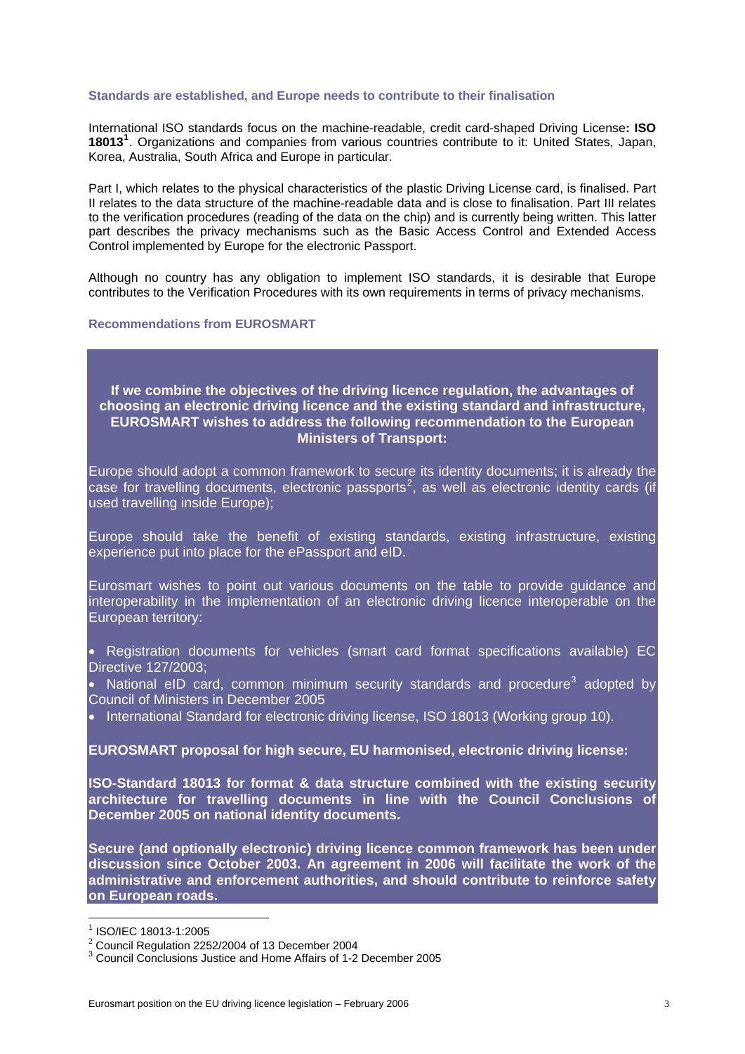### **Standards are established, and Europe needs to contribute to their finalisation**

International ISO standards focus on the machine-readable, credit card-shaped Driving License**: ISO 18013[1](#page-2-0)** . Organizations and companies from various countries contribute to it: United States, Japan, Korea, Australia, South Africa and Europe in particular.

Part I, which relates to the physical characteristics of the plastic Driving License card, is finalised. Part II relates to the data structure of the machine-readable data and is close to finalisation. Part III relates to the verification procedures (reading of the data on the chip) and is currently being written. This latter part describes the privacy mechanisms such as the Basic Access Control and Extended Access Control implemented by Europe for the electronic Passport.

Although no country has any obligation to implement ISO standards, it is desirable that Europe contributes to the Verification Procedures with its own requirements in terms of privacy mechanisms.

## **Recommendations from EUROSMART**

# **If we combine the objectives of the driving licence regulation, the advantages of choosing an electronic driving licence and the existing standard and infrastructure, EUROSMART wishes to address the following recommendation to the European Ministers of Transport:**

Europe should adopt a common framework to secure its identity documents; it is already the case for travelling documents, electronic passports<sup>[2](#page-2-1)</sup>, as well as electronic identity cards (if used travelling inside Europe);

Europe should take the benefit of existing standards, existing infrastructure, existing experience put into place for the ePassport and eID.

Eurosmart wishes to point out various documents on the table to provide guidance and interoperability in the implementation of an electronic driving licence interoperable on the European territory:

• Registration documents for vehicles (smart card format specifications available) EC Directive 127/2003;

• National eID card, common minimum security standards and procedure<sup>[3](#page-2-2)</sup> adopted by Council of Ministers in December 2005

• International Standard for electronic driving license, ISO 18013 (Working group 10).

# **EUROSMART proposal for high secure, EU harmonised, electronic driving license:**

**ISO-Standard 18013 for format & data structure combined with the existing security architecture for travelling documents in line with the Council Conclusions of December 2005 on national identity documents.** 

**Secure (and optionally electronic) driving licence common framework has been under discussion since October 2003. An agreement in 2006 will facilitate the work of the administrative and enforcement authorities, and should contribute to reinforce safety on European roads.** 

1

<sup>1</sup> ISO/IEC 18013-1:2005

<span id="page-2-1"></span><span id="page-2-0"></span> $2$  Council Regulation 2252/2004 of 13 December 2004

<span id="page-2-2"></span><sup>3</sup> Council Conclusions Justice and Home Affairs of 1-2 December 2005